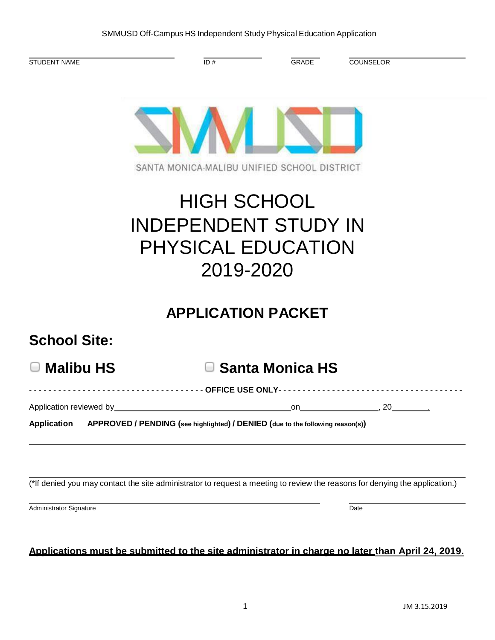|  |  |  | SMMUSD Off-Campus HS Independent Study Physical Education Application |
|--|--|--|-----------------------------------------------------------------------|
|--|--|--|-----------------------------------------------------------------------|

| STUDENT NAME                                                                                                                | ID#                                                                                         | <b>GRADE</b>           | <b>COUNSELOR</b> |  |
|-----------------------------------------------------------------------------------------------------------------------------|---------------------------------------------------------------------------------------------|------------------------|------------------|--|
|                                                                                                                             | SANTA MONICA-MALIBU UNIFIED SCHOOL DISTRICT                                                 |                        |                  |  |
|                                                                                                                             | <b>HIGH SCHOOL</b><br><b>INDEPENDENT STUDY IN</b><br><b>PHYSICAL EDUCATION</b><br>2019-2020 |                        |                  |  |
| <b>School Site:</b>                                                                                                         | <b>APPLICATION PACKET</b>                                                                   |                        |                  |  |
| <b>Malibu HS</b><br>$\overline{\phantom{a}}$                                                                                |                                                                                             | <b>Santa Monica HS</b> |                  |  |
|                                                                                                                             | ----------------- OFFICE USE ONLY----------                                                 |                        |                  |  |
| Application reviewed by__________________________                                                                           |                                                                                             |                        | on , 20          |  |
| <b>Application</b>                                                                                                          | APPROVED / PENDING (see highlighted) / DENIED (due to the following reason(s))              |                        |                  |  |
| (*If denied you may contact the site administrator to request a meeting to review the reasons for denying the application.) |                                                                                             |                        |                  |  |
| Administrator Signature                                                                                                     |                                                                                             |                        | Date             |  |
| Applications must be submitted to the site administrator in charge no later than April 24, 2019.                            |                                                                                             |                        |                  |  |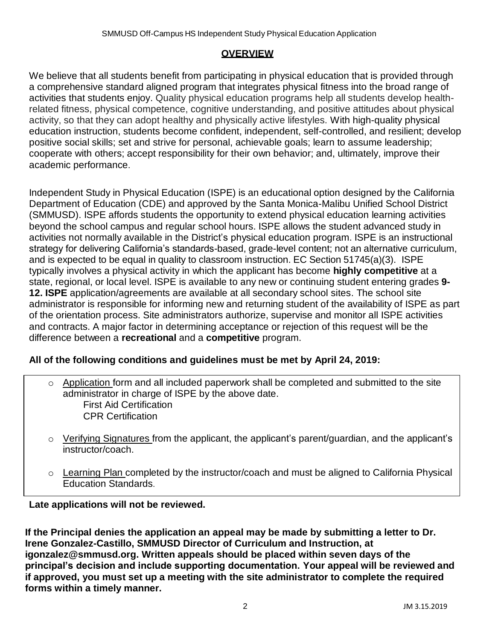## **OVERVIEW**

We believe that all students benefit from participating in physical education that is provided through a comprehensive standard aligned program that integrates physical fitness into the broad range of activities that students enjoy. Quality physical education programs help all students develop healthrelated fitness, physical competence, cognitive understanding, and positive attitudes about physical activity, so that they can adopt healthy and physically active lifestyles. With high-quality physical education instruction, students become confident, independent, self-controlled, and resilient; develop positive social skills; set and strive for personal, achievable goals; learn to assume leadership; cooperate with others; accept responsibility for their own behavior; and, ultimately, improve their academic performance.

Independent Study in Physical Education (ISPE) is an educational option designed by the California Department of Education (CDE) and approved by the Santa Monica-Malibu Unified School District (SMMUSD). ISPE affords students the opportunity to extend physical education learning activities beyond the school campus and regular school hours. ISPE allows the student advanced study in activities not normally available in the District's physical education program. ISPE is an instructional strategy for delivering California's standards-based, grade-level content; not an alternative curriculum, and is expected to be equal in quality to classroom instruction. EC Section 51745(a)(3). ISPE typically involves a physical activity in which the applicant has become **highly competitive** at a state, regional, or local level. ISPE is available to any new or continuing student entering grades **9- 12. ISPE** application/agreements are available at all secondary school sites. The school site administrator is responsible for informing new and returning student of the availability of ISPE as part of the orientation process. Site administrators authorize, supervise and monitor all ISPE activities and contracts. A major factor in determining acceptance or rejection of this request will be the difference between a **recreational** and a **competitive** program.

# **All of the following conditions and guidelines must be met by April 24, 2019:**

- o Application form and all included paperwork shall be completed and submitted to the site administrator in charge of ISPE by the above date. First Aid Certification CPR Certification
- o Verifying Signatures from the applicant, the applicant's parent/guardian, and the applicant's instructor/coach.
- o Learning Plan completed by the instructor/coach and must be aligned to California Physical Education Standards.

**Late applications will not be reviewed.**

**If the Principal denies the application an appeal may be made by submitting a letter to Dr. Irene Gonzalez-Castillo, SMMUSD Director of Curriculum and Instruction, at igonzalez@smmusd.org. Written appeals should be placed within seven days of the principal's decision and include supporting documentation. Your appeal will be reviewed and if approved, you must set up a meeting with the site administrator to complete the required forms within a timely manner.**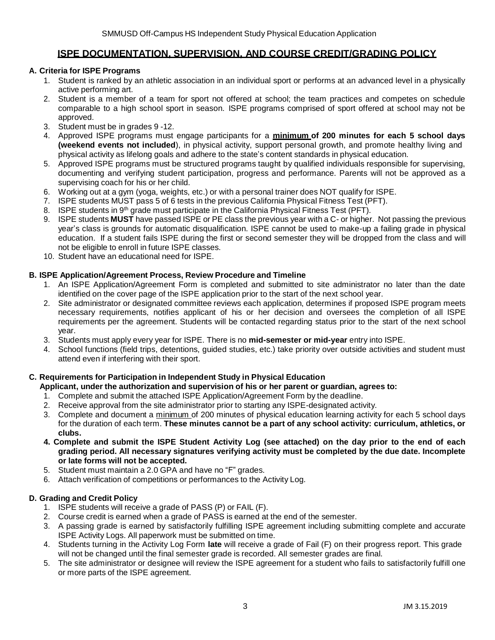### **ISPE DOCUMENTATION, SUPERVISION, AND COURSE CREDIT/GRADING POLICY**

#### **A. Criteria for ISPE Programs**

- 1. Student is ranked by an athletic association in an individual sport or performs at an advanced level in a physically active performing art.
- 2. Student is a member of a team for sport not offered at school; the team practices and competes on schedule comparable to a high school sport in season. ISPE programs comprised of sport offered at school may not be approved.
- 3. Student must be in grades 9 -12.
- 4. Approved ISPE programs must engage participants for a **minimum of 200 minutes for each 5 school days (weekend events not included**), in physical activity, support personal growth, and promote healthy living and physical activityas lifelong goals and adhere to the state's content standards in physical education.
- 5. Approved ISPE programs must be structured programs taught by qualified individuals responsible for supervising, documenting and verifying student participation, progress and performance. Parents will not be approved as a supervising coach for his or her child.
- 6. Working out at a gym (yoga, weights, etc.) or with a personal trainer does NOT qualify for ISPE.
- 7. ISPE students MUST pass 5 of 6 tests in the previous California Physical Fitness Test (PFT).
- 8. ISPE students in 9<sup>th</sup> grade must participate in the California Physical Fitness Test (PFT).
- 9. ISPE students **MUST** have passed ISPE or PE class the previous year witha C- or higher. Not passing the previous year's class is grounds for automatic disqualification. ISPE cannot be used to make-up a failing grade in physical education. If a student fails ISPE during the first or second semester they will be dropped from the class and will not be eligible to enroll in future ISPE classes.
- 10. Student have an educational need for ISPE.

#### **B. ISPE Application/Agreement Process, Review Procedure and Timeline**

- 1. An ISPE Application/Agreement Form is completed and submitted to site administrator no later than the date identified on the cover page of the ISPE application prior to the start of the next school year.
- 2. Site administrator or designated committee reviews each application, determines if proposed ISPE program meets necessary requirements, notifies applicant of his or her decision and oversees the completion of all ISPE requirements per the agreement. Students will be contacted regarding status prior to the start of the next school year.
- 3. Students must apply every year for ISPE. There is no **mid-semester or mid-year** entry into ISPE.
- 4. School functions (field trips, detentions, guided studies, etc.) take priority over outside activities and student must attend even if interfering with their sport.

#### **C. Requirements for Participation in Independent Study in Physical Education**

**Applicant, under the authorization and supervision of his or her parent or guardian, agrees to:**

- 1. Complete and submit the attached ISPE Application/Agreement Form by the deadline.
- 2. Receive approval from the site administrator prior to starting any ISPE-designated activity.
- 3. Complete and document a minimum of 200 minutes of physical education learning activity for each 5 school days for the duration of each term. **These minutes cannot be a part of any school activity: curriculum, athletics, or clubs.**
- 4. Complete and submit the ISPE Student Activity Log (see attached) on the day prior to the end of each **grading period. All necessary signatures verifying activity must be completed by the due date. Incomplete or late forms will not be accepted.**
- 5. Student must maintain a 2.0 GPA and have no "F" grades.
- 6. Attach verification of competitions or performances to the Activity Log.

### **D. Grading and Credit Policy**

- 1. ISPE students will receive a grade of PASS (P) or FAIL (F).
- 2. Course credit is earned when a grade of PASS is earned at the end of the semester.
- 3. A passing grade is earned by satisfactorily fulfilling ISPE agreement including submitting complete and accurate ISPE Activity Logs. All paperwork must be submitted on time.
- 4. Students turning in the Activity Log Form **late** will receive a grade of Fail (F) on their progress report. This grade will not be changed until the final semester grade is recorded. All semester grades are final.
- 5. The site administrator or designee will review the ISPE agreement for a student who fails to satisfactorily fulfill one or more parts of the ISPE agreement.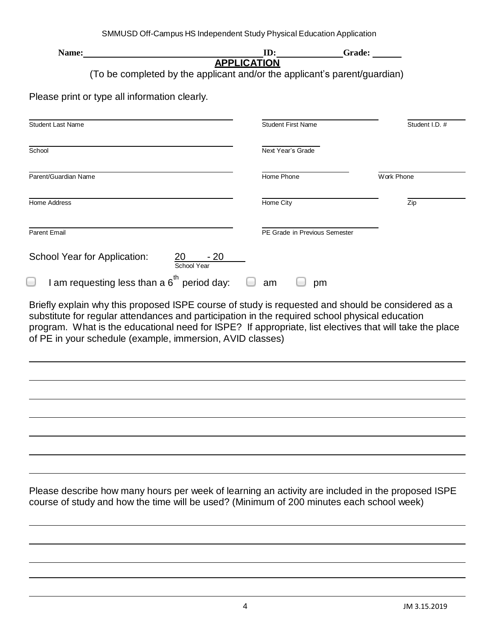| Name:<br>APPLICATION                                                                                                                                                                                                                                                   | ID:                                  | <b>Example 18 Grade:</b>      |                |
|------------------------------------------------------------------------------------------------------------------------------------------------------------------------------------------------------------------------------------------------------------------------|--------------------------------------|-------------------------------|----------------|
| (To be completed by the applicant and/or the applicant's parent/guardian)                                                                                                                                                                                              |                                      |                               |                |
|                                                                                                                                                                                                                                                                        |                                      |                               |                |
| Please print or type all information clearly.                                                                                                                                                                                                                          |                                      |                               |                |
| <b>Student Last Name</b>                                                                                                                                                                                                                                               |                                      | <b>Student First Name</b>     | Student I.D. # |
|                                                                                                                                                                                                                                                                        |                                      |                               |                |
| School                                                                                                                                                                                                                                                                 | Next Year's Grade                    |                               |                |
| Parent/Guardian Name                                                                                                                                                                                                                                                   | Home Phone                           |                               | Work Phone     |
| Home Address                                                                                                                                                                                                                                                           | Home City                            |                               | Zip            |
| Parent Email                                                                                                                                                                                                                                                           |                                      | PE Grade in Previous Semester |                |
| School Year for Application:                                                                                                                                                                                                                                           | $\frac{20 - 20}{\text{School Year}}$ |                               |                |
| I am requesting less than a $6^{th}$ period day: $\Box$ am                                                                                                                                                                                                             |                                      | pm                            |                |
| substitute for regular attendances and participation in the required school physical education<br>program. What is the educational need for ISPE? If appropriate, list electives that will take the place<br>of PE in your schedule (example, immersion, AVID classes) |                                      |                               |                |
|                                                                                                                                                                                                                                                                        |                                      |                               |                |
|                                                                                                                                                                                                                                                                        |                                      |                               |                |
|                                                                                                                                                                                                                                                                        |                                      |                               |                |
|                                                                                                                                                                                                                                                                        |                                      |                               |                |
|                                                                                                                                                                                                                                                                        |                                      |                               |                |
|                                                                                                                                                                                                                                                                        |                                      |                               |                |
| Please describe how many hours per week of learning an activity are included in the proposed ISPE<br>course of study and how the time will be used? (Minimum of 200 minutes each school week)                                                                          |                                      |                               |                |
|                                                                                                                                                                                                                                                                        |                                      |                               |                |
|                                                                                                                                                                                                                                                                        |                                      |                               |                |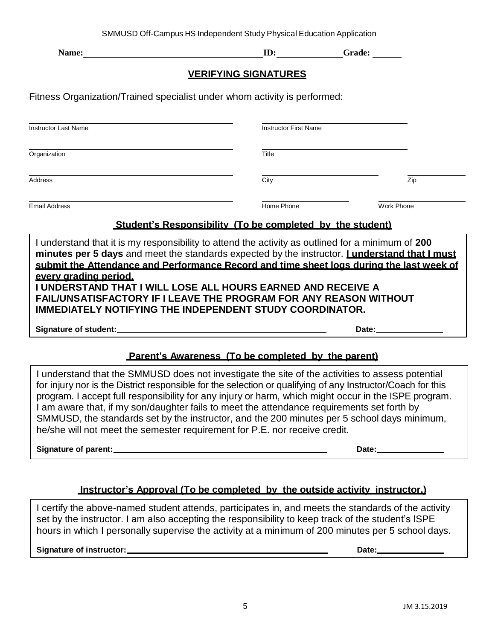| <b>Name:</b> |  |
|--------------|--|

**ID: Grade: Camerage: ID: Camerage: Camerage: ID: Camerage: Camerage: ID: Camerage: Camerage: Camerage: Camerage: Camerage: Camerage: Camerage: Camerage: Camerage: Camerage: Camerage** 

### **VERIFYING SIGNATURES**

Fitness Organization/Trained specialist under whom activity is performed:

| <b>Instructor Last Name</b> | <b>Instructor First Name</b> |            |  |  |
|-----------------------------|------------------------------|------------|--|--|
| Organization                | Title                        |            |  |  |
| Address                     | City                         | Zip        |  |  |
| <b>Email Address</b>        | Home Phone                   | Work Phone |  |  |

## **Student's Responsibility (To be completed by the student)**

I understand that it is my responsibility to attend the activity as outlined for a minimum of **200 minutes per 5 days** and meet the standards expected by the instructor. **I understand that I must submit the Attendance and Performance Record and time sheet logs during the last week of every grading period. I UNDERSTAND THAT I WILL LOSE ALL HOURS EARNED AND RECEIVE A FAIL/UNSATISFACTORY IF I LEAVE THE PROGRAM FOR ANY REASON WITHOUT** 

**IMMEDIATELY NOTIFYING THE INDEPENDENT STUDY COORDINATOR.**

**Signature of student: Date:**

# **Parent's Awareness (To be completed by the parent)**

I understand that the SMMUSD does not investigate the site of the activities to assess potential for injury nor is the District responsible for the selection or qualifying of any Instructor/Coach for this program. I accept full responsibility for any injury or harm, which might occur in the ISPE program. I am aware that, if my son/daughter fails to meet the attendance requirements set forth by SMMUSD, the standards set by the instructor, and the 200 minutes per 5 school days minimum, he/she will not meet the semester requirement for P.E. nor receive credit.

**Signature of parent: Date:**

### **Instructor's Approval (To be completed by the outside activity instructor.)**

I certify the above-named student attends, participates in, and meets the standards of the activity set by the instructor. I am also accepting the responsibility to keep track of the student's ISPE hours in which I personally supervise the activity at a minimum of 200 minutes per 5 school days.

**Signature of instructor: Date:**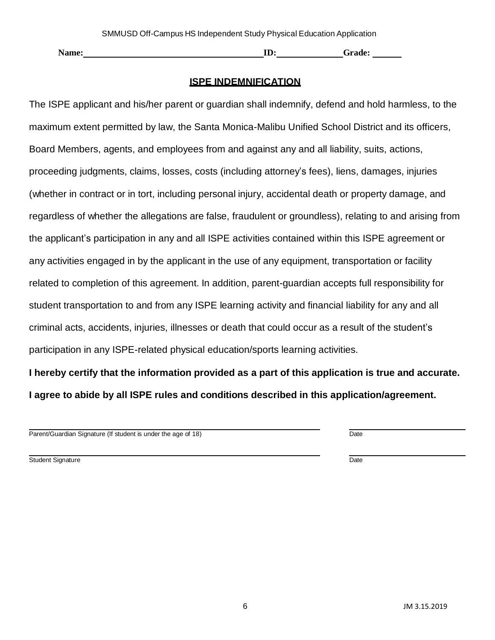| <b>Name:</b> | $\mathbf -$<br>$\mathbf{D}^*$ | -rade:<br>۱тI |
|--------------|-------------------------------|---------------|
|--------------|-------------------------------|---------------|

### **ISPE INDEMNIFICATION**

The ISPE applicant and his/her parent or guardian shall indemnify, defend and hold harmless, to the maximum extent permitted by law, the Santa Monica-Malibu Unified School District and its officers, Board Members, agents, and employees from and against any and all liability, suits, actions, proceeding judgments, claims, losses, costs (including attorney's fees), liens, damages, injuries (whether in contract or in tort, including personal injury, accidental death or property damage, and regardless of whether the allegations are false, fraudulent or groundless), relating to and arising from the applicant's participation in any and all ISPE activities contained within this ISPE agreement or any activities engaged in by the applicant in the use of any equipment, transportation or facility related to completion of this agreement. In addition, parent-guardian accepts full responsibility for student transportation to and from any ISPE learning activity and financial liability for any and all criminal acts, accidents, injuries, illnesses or death that could occur as a result of the student's participation in any ISPE-related physical education/sports learning activities.

**I hereby certify that the information provided as a part of this application is true and accurate. I agree to abide by all ISPE rules and conditions described in this application/agreement.**

Parent/Guardian Signature (If student is under the age of 18) Date

Student Signature Date Date Control of the United Student Signature Date Date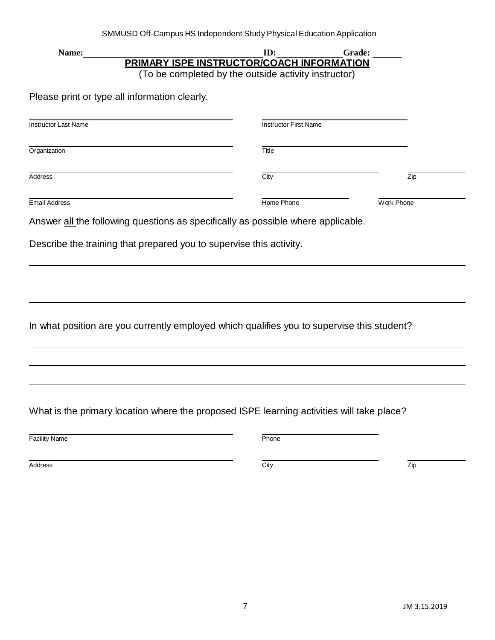| Name:                                                               | ID:                                                                                               | Grade:     |
|---------------------------------------------------------------------|---------------------------------------------------------------------------------------------------|------------|
|                                                                     | PRIMARY ISPE INSTRUCTOR/COACH INFORMATION<br>(To be completed by the outside activity instructor) |            |
| Please print or type all information clearly.                       |                                                                                                   |            |
| <b>Instructor Last Name</b>                                         | <b>Instructor First Name</b>                                                                      |            |
| Organization                                                        | Title                                                                                             |            |
| Address                                                             | City                                                                                              | Zip        |
| Email Address                                                       | Home Phone                                                                                        | Work Phone |
|                                                                     | Answer all the following questions as specifically as possible where applicable.                  |            |
| Describe the training that prepared you to supervise this activity. |                                                                                                   |            |
|                                                                     |                                                                                                   |            |
|                                                                     |                                                                                                   |            |
|                                                                     |                                                                                                   |            |
|                                                                     |                                                                                                   |            |
|                                                                     | In what position are you currently employed which qualifies you to supervise this student?        |            |
|                                                                     |                                                                                                   |            |
|                                                                     |                                                                                                   |            |
|                                                                     |                                                                                                   |            |
|                                                                     |                                                                                                   |            |
|                                                                     | What is the primary location where the proposed ISPE learning activities will take place?         |            |
| <b>Facility Name</b>                                                | Phone                                                                                             |            |
| Address                                                             | City                                                                                              | Zip        |
|                                                                     |                                                                                                   |            |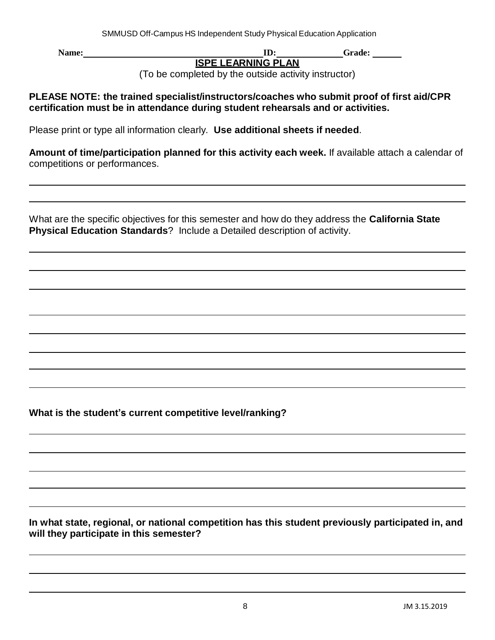**Name: ID:** Grade: **Grade: Grade: Constant Constant Constant Constant Constant Constant Constant Constant Constant Constant Constant Constant Constant Constant Constant Constant Constant Constant Constant Constant Co ISPE LEARNING PLAN**

(To be completed by the outside activity instructor)

**PLEASE NOTE: the trained specialist/instructors/coaches who submit proof of first aid/CPR certification must be in attendance during student rehearsals and or activities.**

Please print or type all information clearly. **Use additional sheets if needed**.

**Amount of time/participation planned for this activity each week.** If available attach a calendar of competitions or performances.

What are the specific objectives for this semester and how do they address the **California State Physical Education Standards**? Include a Detailed description of activity.

**What is the student's current competitive level/ranking?**

**In what state, regional, or national competition has this student previously participated in, and will they participate in this semester?**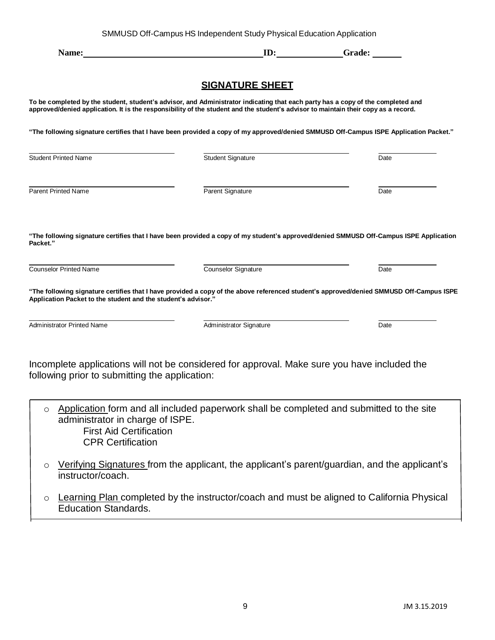| SMMUSD Off-Campus HS Independent Study Physical Education Application |  |  |
|-----------------------------------------------------------------------|--|--|

|                                                               | Name: Name and the state of the state of the state of the state of the state of the state of the state of the state of the state of the state of the state of the state of the state of the state of the state of the state of                                        | ID: Grade: |
|---------------------------------------------------------------|-----------------------------------------------------------------------------------------------------------------------------------------------------------------------------------------------------------------------------------------------------------------------|------------|
|                                                               | <b>SIGNATURE SHEET</b>                                                                                                                                                                                                                                                |            |
|                                                               | To be completed by the student, student's advisor, and Administrator indicating that each party has a copy of the completed and<br>approved/denied application. It is the responsibility of the student and the student's advisor to maintain their copy as a record. |            |
|                                                               | "The following signature certifies that I have been provided a copy of my approved/denied SMMUSD Off-Campus ISPE Application Packet."                                                                                                                                 |            |
| <b>Student Printed Name</b>                                   | Student Signature                                                                                                                                                                                                                                                     | Date       |
| <b>Parent Printed Name</b>                                    | Parent Signature                                                                                                                                                                                                                                                      | Date       |
| Packet."<br><b>Counselor Printed Name</b>                     | "The following signature certifies that I have been provided a copy of my student's approved/denied SMMUSD Off-Campus ISPE Application<br>Counselor Signature                                                                                                         | Date       |
| Application Packet to the student and the student's advisor." | "The following signature certifies that I have provided a copy of the above referenced student's approved/denied SMMUSD Off-Campus ISPE                                                                                                                               |            |
| <b>Administrator Printed Name</b>                             | Administrator Signature                                                                                                                                                                                                                                               | Date       |
| following prior to submitting the application:                | Incomplete applications will not be considered for approval. Make sure you have included the                                                                                                                                                                          |            |
| $\circ$<br>administrator in charge of ISPE.                   | Application form and all included paperwork shall be completed and submitted to the site                                                                                                                                                                              |            |

First Aid Certification CPR Certification

- o Verifying Signatures from the applicant, the applicant's parent/guardian, and the applicant's instructor/coach.
- o Learning Plan completed by the instructor/coach and must be aligned to California Physical Education Standards.